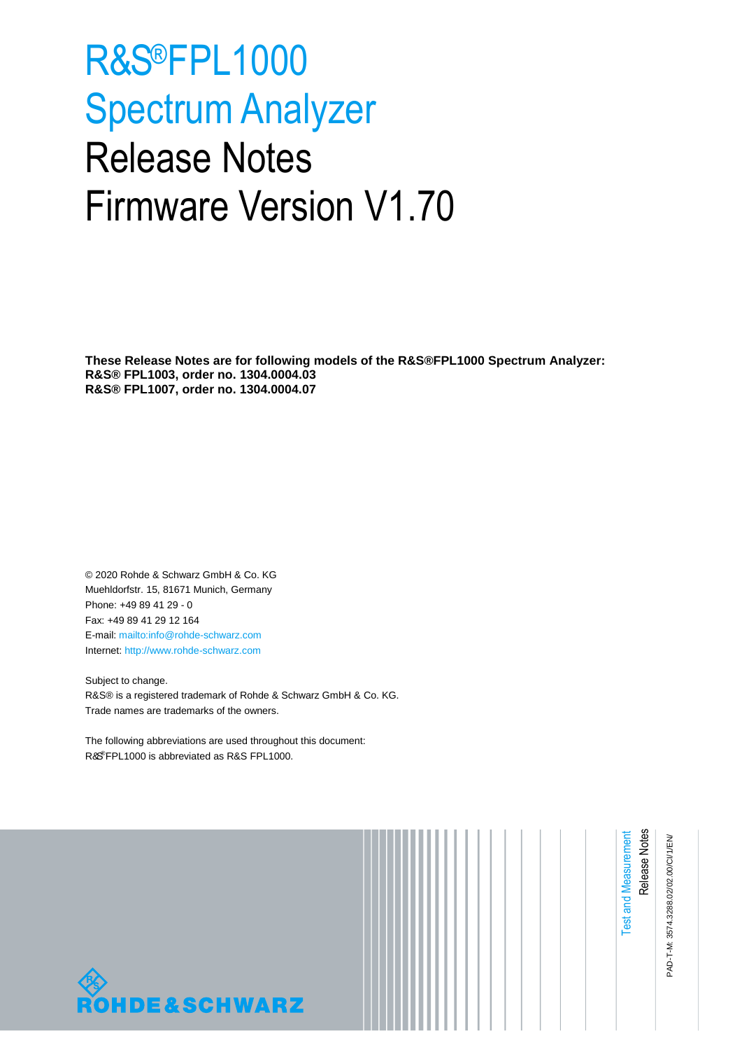# R&S®FPL1000 Spectrum Analyzer Release Notes Firmware Version V1.70

**These Release Notes are for following models of the R&S®FPL1000 Spectrum Analyzer: R&S® FPL1003, order no. 1304.0004.03 R&S® FPL1007, order no. 1304.0004.07**

© 2020 Rohde & Schwarz GmbH & Co. KG Muehldorfstr. 15, 81671 Munich, Germany Phone: +49 89 41 29 - 0 Fax: +49 89 41 29 12 164 E-mail[: mailto:info@rohde-schwarz.com](mailto:info@rohde-schwarz.com) Internet: [http://www.rohde-schwarz.com](http://www.rohde-schwarz.com/)

Subject to change. R&S® is a registered trademark of Rohde & Schwarz GmbH & Co. KG. Trade names are trademarks of the owners.

The following abbreviations are used throughout this document: R&S®FPL1000 is abbreviated as R&S FPL1000.



PAD-T-M: 3574.3288.02/02.00/CI/1/EN/ PAD-T-M: 3574.3288.02/02.00/CI/1/EN/

Release Notes

Test and Measurement

**Test and Measurement**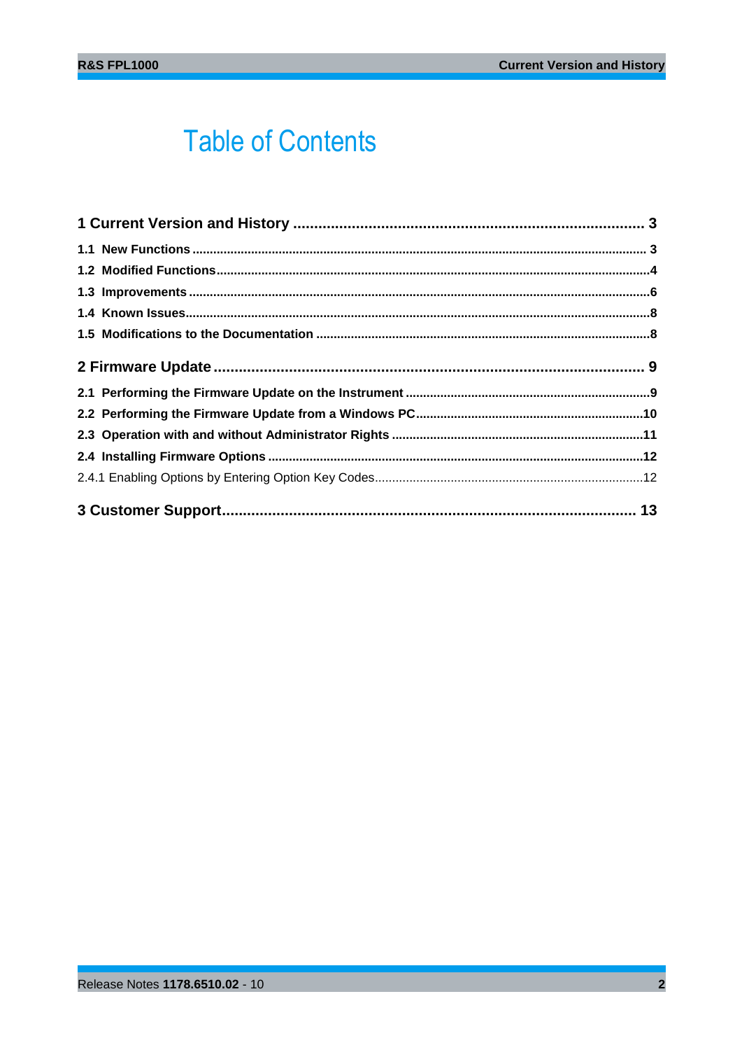## **Table of Contents**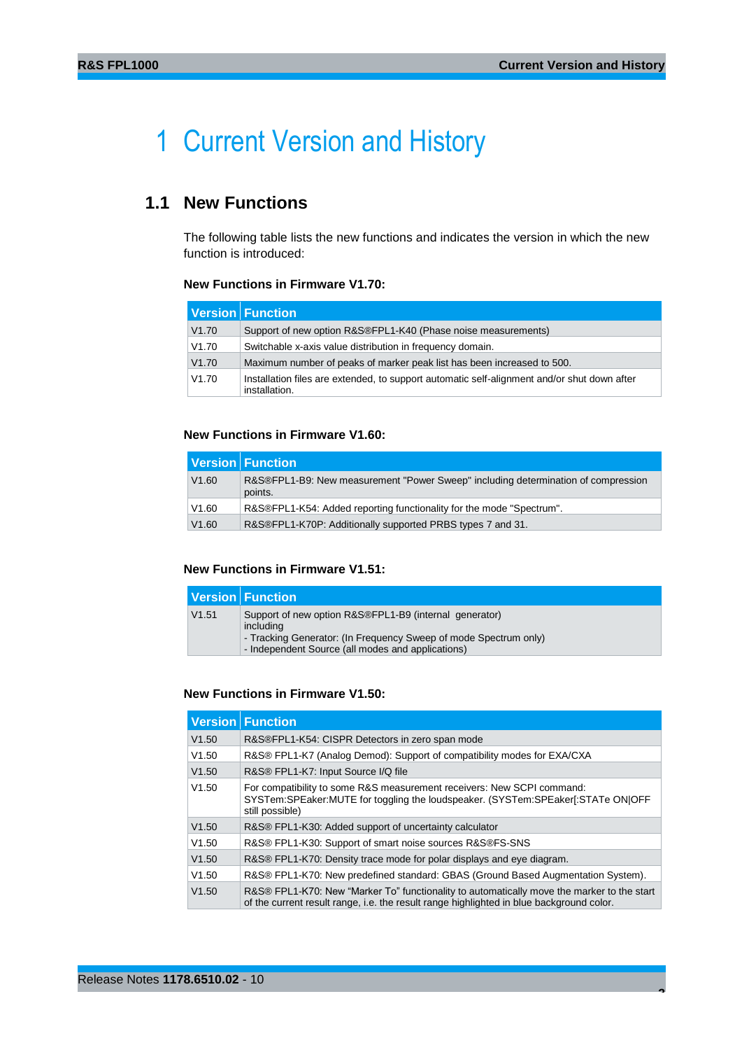## <span id="page-2-0"></span>1 Current Version and History

## <span id="page-2-1"></span>**1.1 New Functions**

The following table lists the new functions and indicates the version in which the new function is introduced:

## **New Functions in Firmware V1.70:**

|       | Version Function                                                                                             |
|-------|--------------------------------------------------------------------------------------------------------------|
| V1.70 | Support of new option R&S®FPL1-K40 (Phase noise measurements)                                                |
| V1.70 | Switchable x-axis value distribution in frequency domain.                                                    |
| V1.70 | Maximum number of peaks of marker peak list has been increased to 500.                                       |
| V1.70 | Installation files are extended, to support automatic self-alignment and/or shut down after<br>installation. |

## **New Functions in Firmware V1.60:**

|       | <b>Version Function</b>                                                                      |
|-------|----------------------------------------------------------------------------------------------|
| V1.60 | R&S®FPL1-B9: New measurement "Power Sweep" including determination of compression<br>points. |
| V1.60 | R&S®FPL1-K54: Added reporting functionality for the mode "Spectrum".                         |
| V1.60 | R&S®FPL1-K70P: Additionally supported PRBS types 7 and 31.                                   |

## **New Functions in Firmware V1.51:**

|       | <b>Version Function</b>                                                                                                                                                                      |
|-------|----------------------------------------------------------------------------------------------------------------------------------------------------------------------------------------------|
| V1.51 | Support of new option R&S®FPL1-B9 (internal generator)<br>including<br>- Tracking Generator: (In Frequency Sweep of mode Spectrum only)<br>- Independent Source (all modes and applications) |

#### **New Functions in Firmware V1.50:**

|       | <b>Version Function</b>                                                                                                                                                                |
|-------|----------------------------------------------------------------------------------------------------------------------------------------------------------------------------------------|
| V1.50 | R&S®FPL1-K54: CISPR Detectors in zero span mode                                                                                                                                        |
| V1.50 | R&S® FPL1-K7 (Analog Demod): Support of compatibility modes for EXA/CXA                                                                                                                |
| V1.50 | R&S® FPL1-K7: Input Source I/Q file                                                                                                                                                    |
| V1.50 | For compatibility to some R&S measurement receivers: New SCPI command:<br>SYSTem:SPEaker:MUTE for toggling the loudspeaker. (SYSTem:SPEaker[:STATe ON OFF<br>still possible)           |
| V1.50 | R&S® FPL1-K30: Added support of uncertainty calculator                                                                                                                                 |
| V1.50 | R&S® FPL1-K30: Support of smart noise sources R&S®FS-SNS                                                                                                                               |
| V1.50 | R&S® FPL1-K70: Density trace mode for polar displays and eye diagram.                                                                                                                  |
| V1.50 | R&S® FPL1-K70: New predefined standard: GBAS (Ground Based Augmentation System).                                                                                                       |
| V1.50 | R&S® FPL1-K70: New "Marker To" functionality to automatically move the marker to the start<br>of the current result range, i.e. the result range highlighted in blue background color. |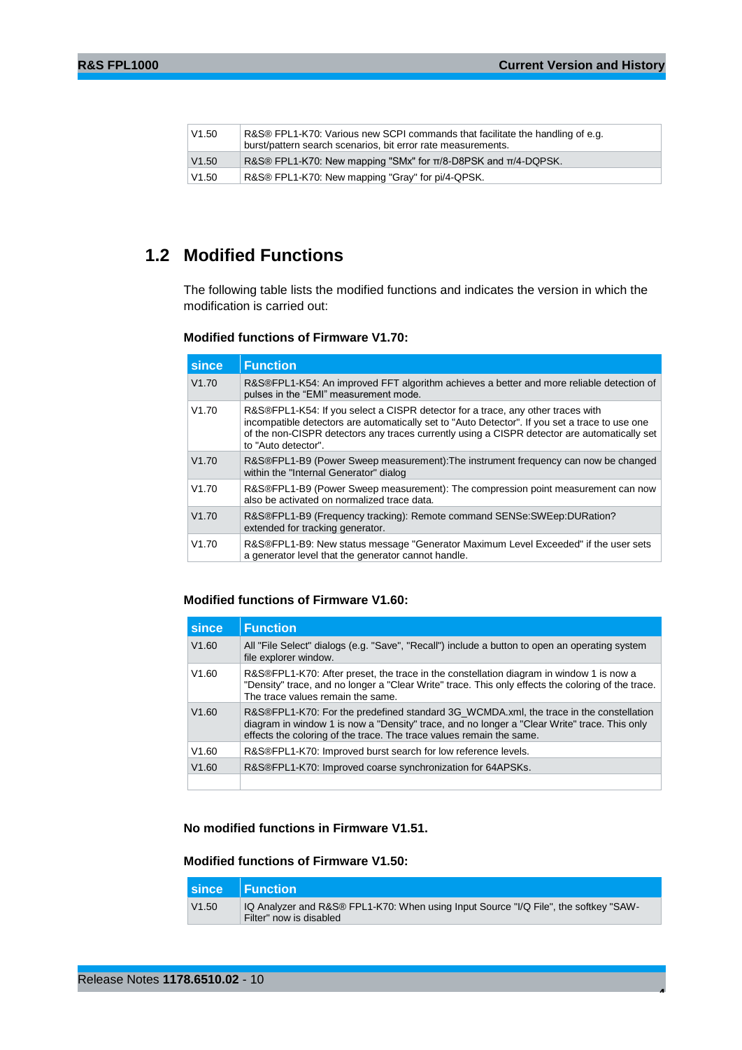| V1.50 | R&S® FPL1-K70: Various new SCPI commands that facilitate the handling of e.g.<br>burst/pattern search scenarios, bit error rate measurements. |
|-------|-----------------------------------------------------------------------------------------------------------------------------------------------|
| V1.50 | R&S® FPL1-K70: New mapping "SMx" for $\pi/8$ -D8PSK and $\pi/4$ -DQPSK.                                                                       |
| V1.50 | R&S® FPL1-K70: New mapping "Gray" for pi/4-QPSK.                                                                                              |

## <span id="page-3-0"></span>**1.2 Modified Functions**

The following table lists the modified functions and indicates the version in which the modification is carried out:

## **Modified functions of Firmware V1.70:**

| since | <b>Function</b>                                                                                                                                                                                                                                                                                          |
|-------|----------------------------------------------------------------------------------------------------------------------------------------------------------------------------------------------------------------------------------------------------------------------------------------------------------|
| V1.70 | R&S®FPL1-K54: An improved FFT algorithm achieves a better and more reliable detection of<br>pulses in the "EMI" measurement mode.                                                                                                                                                                        |
| V1.70 | R&S®FPL1-K54: If you select a CISPR detector for a trace, any other traces with<br>incompatible detectors are automatically set to "Auto Detector". If you set a trace to use one<br>of the non-CISPR detectors any traces currently using a CISPR detector are automatically set<br>to "Auto detector". |
| V1.70 | R&S®FPL1-B9 (Power Sweep measurement): The instrument frequency can now be changed<br>within the "Internal Generator" dialog                                                                                                                                                                             |
| V1.70 | R&S®FPL1-B9 (Power Sweep measurement): The compression point measurement can now<br>also be activated on normalized trace data.                                                                                                                                                                          |
| V1.70 | R&S®FPL1-B9 (Frequency tracking): Remote command SENSe: SWEep: DURation?<br>extended for tracking generator.                                                                                                                                                                                             |
| V1.70 | R&S®FPL1-B9: New status message "Generator Maximum Level Exceeded" if the user sets<br>a generator level that the generator cannot handle.                                                                                                                                                               |

## **Modified functions of Firmware V1.60:**

| since | <b>Function</b>                                                                                                                                                                                                                                                |
|-------|----------------------------------------------------------------------------------------------------------------------------------------------------------------------------------------------------------------------------------------------------------------|
| V1.60 | All "File Select" dialogs (e.g. "Save", "Recall") include a button to open an operating system<br>file explorer window.                                                                                                                                        |
| V1.60 | R&S®FPL1-K70: After preset, the trace in the constellation diagram in window 1 is now a<br>"Density" trace, and no longer a "Clear Write" trace. This only effects the coloring of the trace.<br>The trace values remain the same.                             |
| V1.60 | R&S®FPL1-K70: For the predefined standard 3G WCMDA.xml, the trace in the constellation<br>diagram in window 1 is now a "Density" trace, and no longer a "Clear Write" trace. This only<br>effects the coloring of the trace. The trace values remain the same. |
| V1.60 | R&S®FPL1-K70: Improved burst search for low reference levels.                                                                                                                                                                                                  |
| V1.60 | R&S®FPL1-K70: Improved coarse synchronization for 64APSKs.                                                                                                                                                                                                     |
|       |                                                                                                                                                                                                                                                                |

**No modified functions in Firmware V1.51.**

## **Modified functions of Firmware V1.50:**

|       | since Function                                                                                                  |
|-------|-----------------------------------------------------------------------------------------------------------------|
| V1.50 | IQ Analyzer and R&S® FPL1-K70: When using Input Source "I/Q File", the softkey "SAW-<br>Filter" now is disabled |

**4**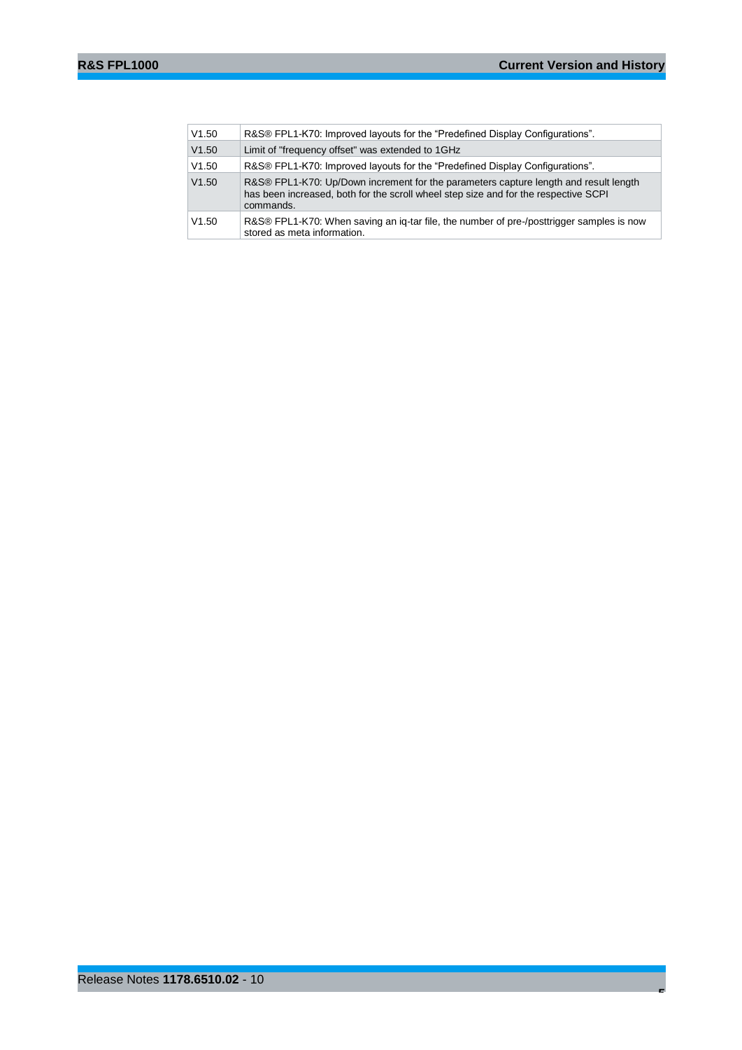|  | V1.50 | R&S® FPL1-K70: Improved layouts for the "Predefined Display Configurations".                                                                                                             |
|--|-------|------------------------------------------------------------------------------------------------------------------------------------------------------------------------------------------|
|  | V1.50 | Limit of "frequency offset" was extended to 1GHz                                                                                                                                         |
|  | V1.50 | R&S® FPL1-K70: Improved layouts for the "Predefined Display Configurations".                                                                                                             |
|  | V1.50 | R&S® FPL1-K70: Up/Down increment for the parameters capture length and result length<br>has been increased, both for the scroll wheel step size and for the respective SCPI<br>commands. |
|  | V1.50 | R&S® FPL1-K70: When saving an ig-tar file, the number of pre-/posttrigger samples is now<br>stored as meta information.                                                                  |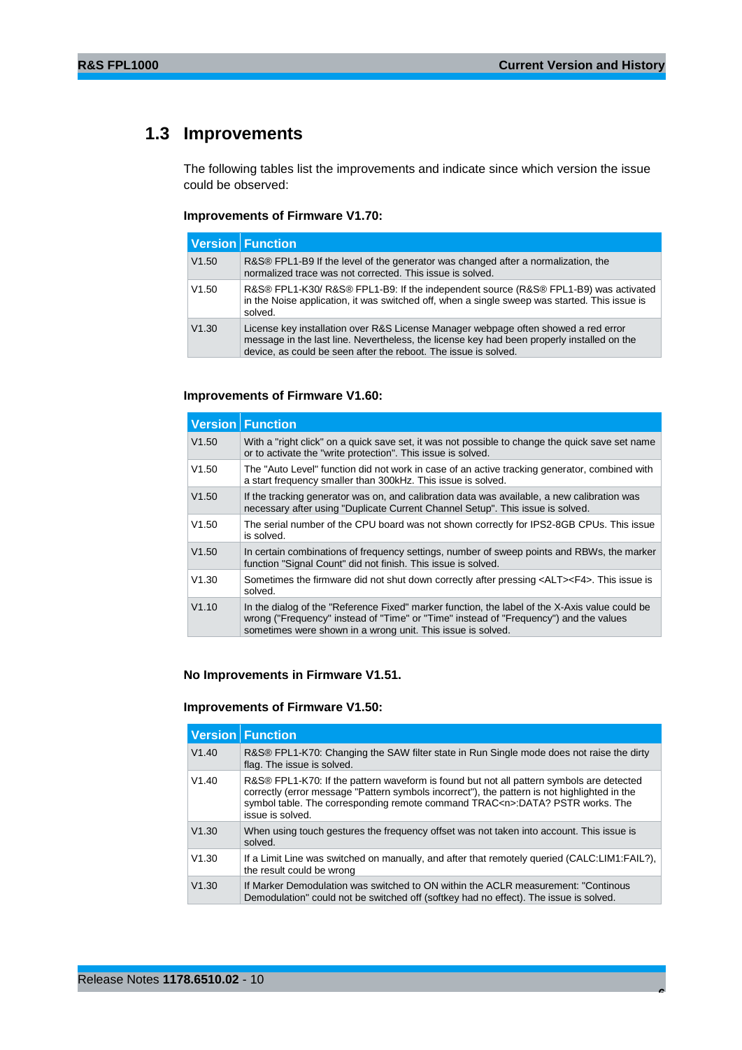## <span id="page-5-0"></span>**1.3 Improvements**

The following tables list the improvements and indicate since which version the issue could be observed:

#### **Improvements of Firmware V1.70:**

|       | <b>Version Function</b>                                                                                                                                                                                                                             |
|-------|-----------------------------------------------------------------------------------------------------------------------------------------------------------------------------------------------------------------------------------------------------|
| V1.50 | R&S® FPL1-B9 If the level of the generator was changed after a normalization, the<br>normalized trace was not corrected. This issue is solved.                                                                                                      |
| V1.50 | R&S® FPL1-K30/ R&S® FPL1-B9: If the independent source (R&S® FPL1-B9) was activated<br>in the Noise application, it was switched off, when a single sweep was started. This issue is<br>solved.                                                     |
| V1.30 | License key installation over R&S License Manager webpage often showed a red error<br>message in the last line. Nevertheless, the license key had been properly installed on the<br>device, as could be seen after the reboot. The issue is solved. |

### **Improvements of Firmware V1.60:**

|       | <b>Version Function</b>                                                                                                                                                                                                                                |
|-------|--------------------------------------------------------------------------------------------------------------------------------------------------------------------------------------------------------------------------------------------------------|
| V1.50 | With a "right click" on a quick save set, it was not possible to change the quick save set name<br>or to activate the "write protection". This issue is solved.                                                                                        |
| V1.50 | The "Auto Level" function did not work in case of an active tracking generator, combined with<br>a start frequency smaller than 300kHz. This issue is solved.                                                                                          |
| V1.50 | If the tracking generator was on, and calibration data was available, a new calibration was<br>necessary after using "Duplicate Current Channel Setup". This issue is solved.                                                                          |
| V1.50 | The serial number of the CPU board was not shown correctly for IPS2-8GB CPUs. This issue<br>is solved.                                                                                                                                                 |
| V1.50 | In certain combinations of frequency settings, number of sweep points and RBWs, the marker<br>function "Signal Count" did not finish. This issue is solved.                                                                                            |
| V1.30 | Sometimes the firmware did not shut down correctly after pressing <alt><f4>. This issue is<br/>solved.</f4></alt>                                                                                                                                      |
| V1.10 | In the dialog of the "Reference Fixed" marker function, the label of the X-Axis value could be<br>wrong ("Frequency" instead of "Time" or "Time" instead of "Frequency") and the values<br>sometimes were shown in a wrong unit. This issue is solved. |

### **No Improvements in Firmware V1.51.**

### **Improvements of Firmware V1.50:**

|       | <b>Version Function</b>                                                                                                                                                                                                                                                                            |
|-------|----------------------------------------------------------------------------------------------------------------------------------------------------------------------------------------------------------------------------------------------------------------------------------------------------|
| V1.40 | R&S® FPL1-K70: Changing the SAW filter state in Run Single mode does not raise the dirty<br>flag. The issue is solved.                                                                                                                                                                             |
| V1.40 | R&S® FPL1-K70: If the pattern waveform is found but not all pattern symbols are detected<br>correctly (error message "Pattern symbols incorrect"), the pattern is not highlighted in the<br>symbol table. The corresponding remote command TRAC <n>:DATA? PSTR works. The<br/>issue is solved.</n> |
| V1.30 | When using touch gestures the frequency offset was not taken into account. This issue is<br>solved.                                                                                                                                                                                                |
| V1.30 | If a Limit Line was switched on manually, and after that remotely queried (CALC:LIM1:FAIL?),<br>the result could be wrong                                                                                                                                                                          |
| V1.30 | If Marker Demodulation was switched to ON within the ACLR measurement: "Continous<br>Demodulation" could not be switched off (softkey had no effect). The issue is solved.                                                                                                                         |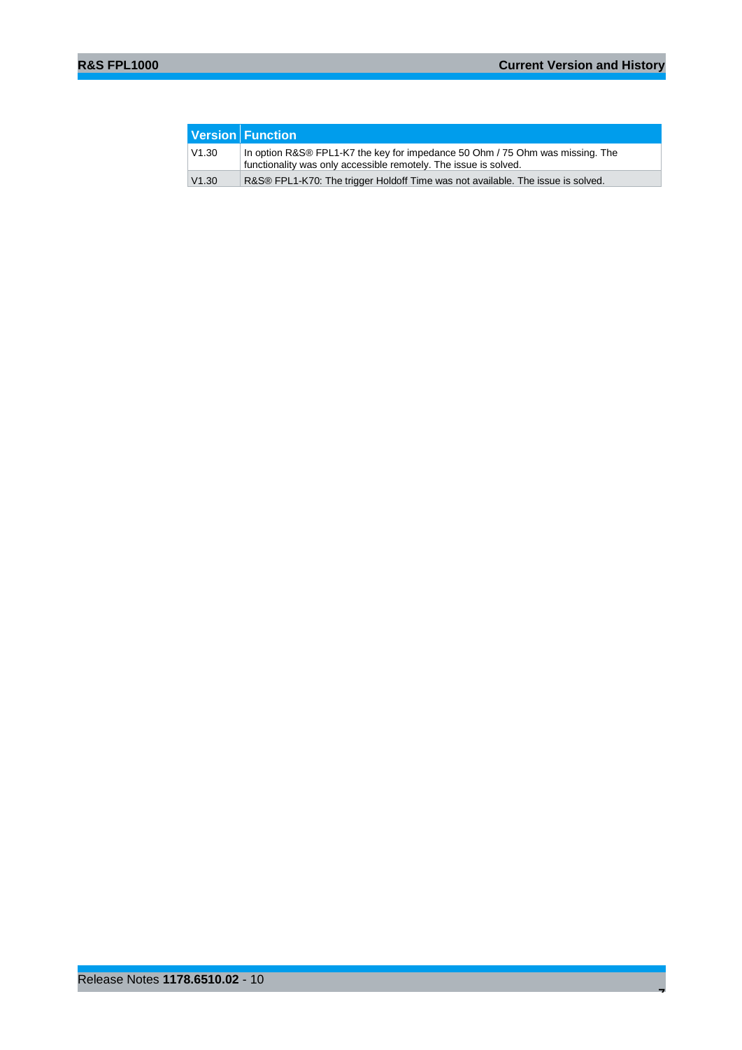|       | Version Function                                                                                                                                  |
|-------|---------------------------------------------------------------------------------------------------------------------------------------------------|
| V1.30 | In option R&S® FPL1-K7 the key for impedance 50 Ohm / 75 Ohm was missing. The<br>functionality was only accessible remotely. The issue is solved. |
| V1.30 | R&S® FPL1-K70: The trigger Holdoff Time was not available. The issue is solved.                                                                   |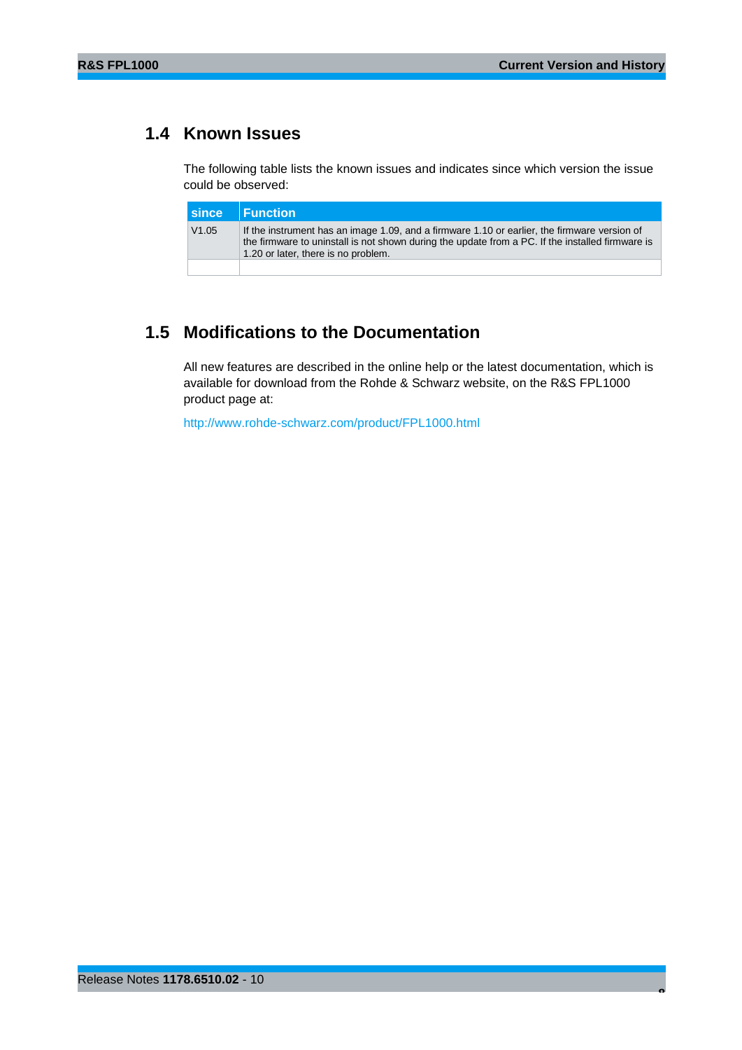## <span id="page-7-0"></span>**1.4 Known Issues**

The following table lists the known issues and indicates since which version the issue could be observed:

|       | since Function                                                                                                                                                                                                                          |
|-------|-----------------------------------------------------------------------------------------------------------------------------------------------------------------------------------------------------------------------------------------|
| V1.05 | If the instrument has an image 1.09, and a firmware 1.10 or earlier, the firmware version of<br>the firmware to uninstall is not shown during the update from a PC. If the installed firmware is<br>1.20 or later, there is no problem. |
|       |                                                                                                                                                                                                                                         |

## <span id="page-7-1"></span>**1.5 Modifications to the Documentation**

All new features are described in the online help or the latest documentation, which is available for download from the Rohde & Schwarz website, on the R&S FPL1000 product page at:

<http://www.rohde-schwarz.com/product/FPL1000.html>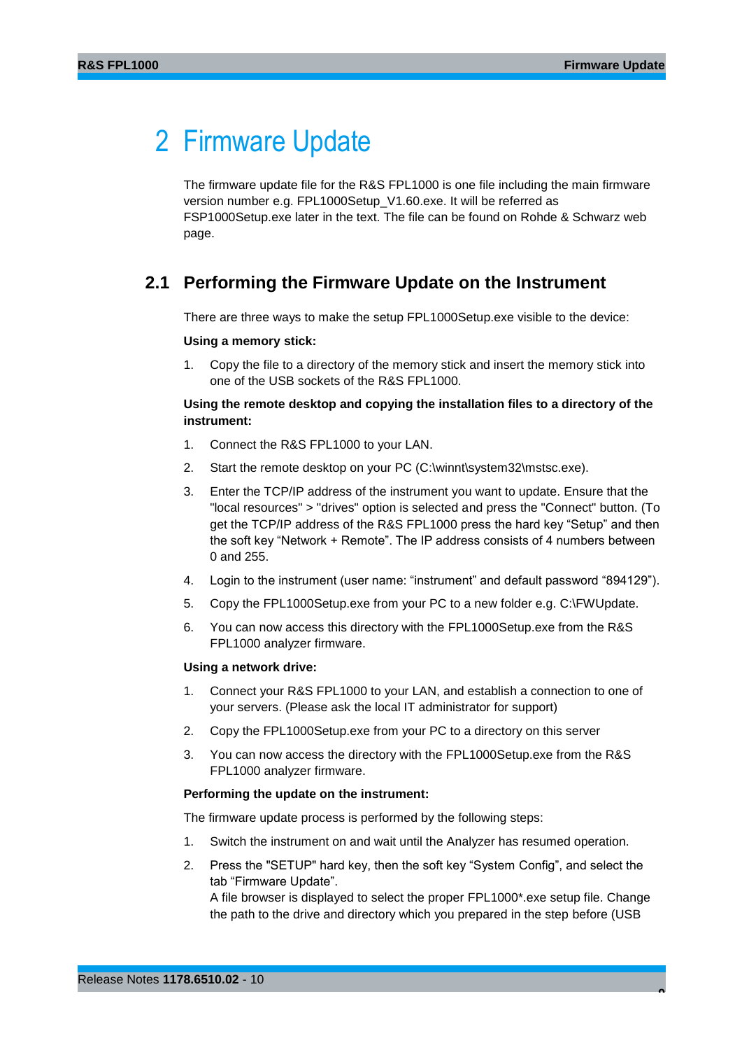## <span id="page-8-0"></span>2 Firmware Update

The firmware update file for the R&S FPL1000 is one file including the main firmware version number e.g. FPL1000Setup\_V1.60.exe. It will be referred as FSP1000Setup.exe later in the text. The file can be found on Rohde & Schwarz web page.

## <span id="page-8-1"></span>**2.1 Performing the Firmware Update on the Instrument**

There are three ways to make the setup FPL1000Setup.exe visible to the device:

#### **Using a memory stick:**

1. Copy the file to a directory of the memory stick and insert the memory stick into one of the USB sockets of the R&S FPL1000.

## **Using the remote desktop and copying the installation files to a directory of the instrument:**

- 1. Connect the R&S FPL1000 to your LAN.
- 2. Start the remote desktop on your PC (C:\winnt\system32\mstsc.exe).
- 3. Enter the TCP/IP address of the instrument you want to update. Ensure that the "local resources" > "drives" option is selected and press the "Connect" button. (To get the TCP/IP address of the R&S FPL1000 press the hard key "Setup" and then the soft key "Network + Remote". The IP address consists of 4 numbers between 0 and 255.
- 4. Login to the instrument (user name: "instrument" and default password "894129").
- 5. Copy the FPL1000Setup.exe from your PC to a new folder e.g. C:\FWUpdate.
- 6. You can now access this directory with the FPL1000Setup.exe from the R&S FPL1000 analyzer firmware.

#### **Using a network drive:**

- 1. Connect your R&S FPL1000 to your LAN, and establish a connection to one of your servers. (Please ask the local IT administrator for support)
- 2. Copy the FPL1000Setup.exe from your PC to a directory on this server
- 3. You can now access the directory with the FPL1000Setup.exe from the R&S FPL1000 analyzer firmware.

#### **Performing the update on the instrument:**

The firmware update process is performed by the following steps:

- 1. Switch the instrument on and wait until the Analyzer has resumed operation.
- 2. Press the "SETUP" hard key, then the soft key "System Config", and select the tab "Firmware Update".

A file browser is displayed to select the proper FPL1000\*.exe setup file. Change the path to the drive and directory which you prepared in the step before (USB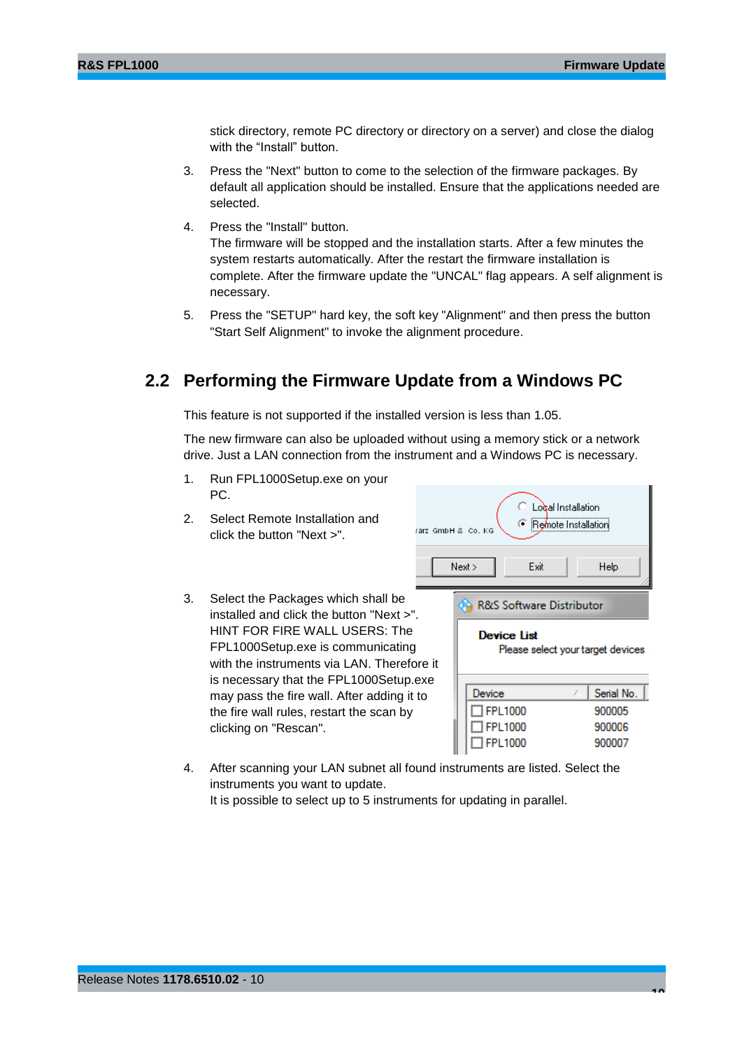stick directory, remote PC directory or directory on a server) and close the dialog with the "Install" button.

- 3. Press the "Next" button to come to the selection of the firmware packages. By default all application should be installed. Ensure that the applications needed are selected.
- 4. Press the "Install" button.

The firmware will be stopped and the installation starts. After a few minutes the system restarts automatically. After the restart the firmware installation is complete. After the firmware update the "UNCAL" flag appears. A self alignment is necessary.

<span id="page-9-0"></span>5. Press the "SETUP" hard key, the soft key "Alignment" and then press the button "Start Self Alignment" to invoke the alignment procedure.

## **2.2 Performing the Firmware Update from a Windows PC**

This feature is not supported if the installed version is less than 1.05.

The new firmware can also be uploaded without using a memory stick or a network drive. Just a LAN connection from the instrument and a Windows PC is necessary.

- 1. Run FPL1000Setup.exe on your PC. Local Installation 2. Select Remote Installation and **E** Remote Installation (art GmbH & Co. KG) click the button "Next >".  $Next$ Exit Help 3. Select the Packages which shall be R&S Software Distributor installed and click the button "Next >". HINT FOR FIRE WALL USERS: The **Device List** FPL1000Setup.exe is communicating Please select your target devices with the instruments via LAN. Therefore it is necessary that the FPL1000Setup.exe Device Serial No. may pass the fire wall. After adding it to  $\Box$ FPL1000 900005 the fire wall rules, restart the scan by clicking on "Rescan".  $\Box$ FPL1000 900006  $\Box$ FPL1000 900007
- 4. After scanning your LAN subnet all found instruments are listed. Select the instruments you want to update. It is possible to select up to 5 instruments for updating in parallel.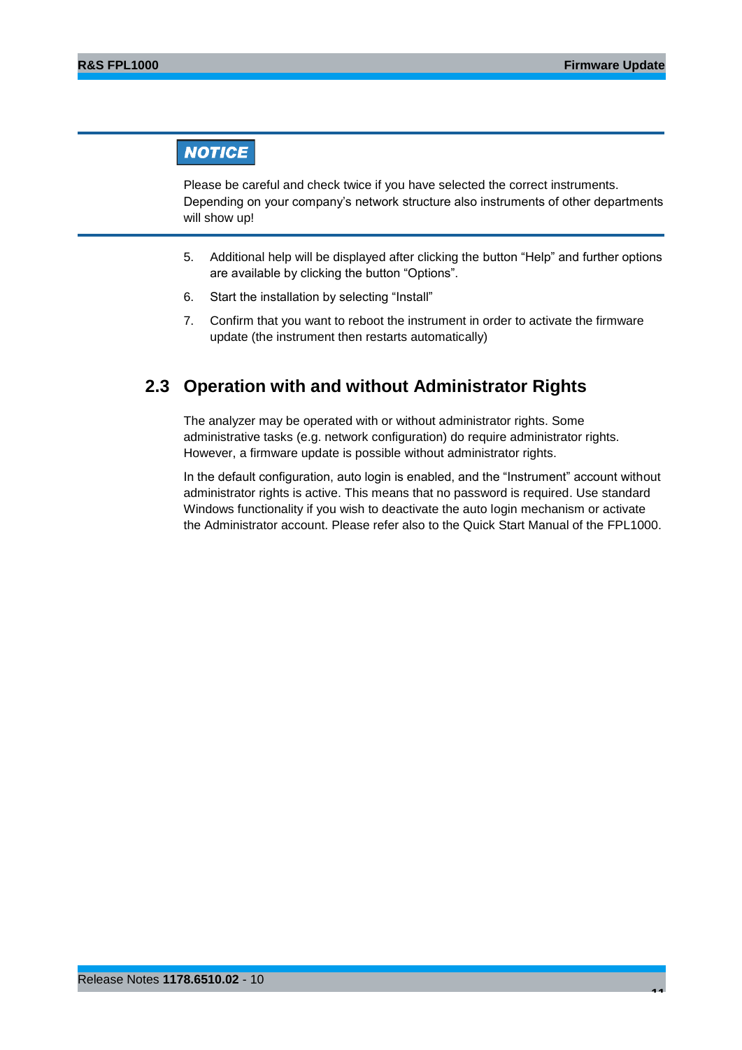## **NOTICE**

Please be careful and check twice if you have selected the correct instruments. Depending on your company's network structure also instruments of other departments will show up!

- 5. Additional help will be displayed after clicking the button "Help" and further options are available by clicking the button "Options".
- 6. Start the installation by selecting "Install"
- <span id="page-10-0"></span>7. Confirm that you want to reboot the instrument in order to activate the firmware update (the instrument then restarts automatically)

## **2.3 Operation with and without Administrator Rights**

The analyzer may be operated with or without administrator rights. Some administrative tasks (e.g. network configuration) do require administrator rights. However, a firmware update is possible without administrator rights.

In the default configuration, auto login is enabled, and the "Instrument" account without administrator rights is active. This means that no password is required. Use standard Windows functionality if you wish to deactivate the auto login mechanism or activate the Administrator account. Please refer also to the Quick Start Manual of the FPL1000.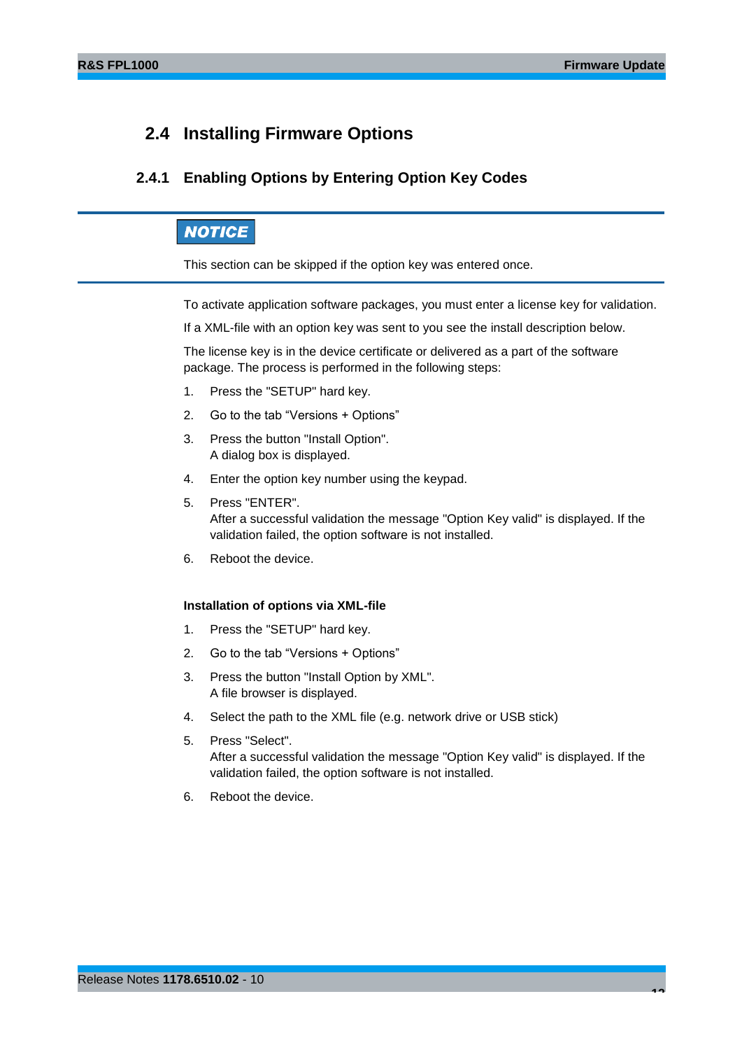## <span id="page-11-0"></span>**2.4 Installing Firmware Options**

## <span id="page-11-1"></span>**2.4.1 Enabling Options by Entering Option Key Codes**

## **NOTICE**

This section can be skipped if the option key was entered once.

To activate application software packages, you must enter a license key for validation.

If a XML-file with an option key was sent to you see the install description below.

The license key is in the device certificate or delivered as a part of the software package. The process is performed in the following steps:

- 1. Press the "SETUP" hard key.
- 2. Go to the tab "Versions + Options"
- 3. Press the button "Install Option". A dialog box is displayed.
- 4. Enter the option key number using the keypad.
- 5. Press "ENTER". After a successful validation the message "Option Key valid" is displayed. If the validation failed, the option software is not installed.
- 6. Reboot the device.

#### **Installation of options via XML-file**

- 1. Press the "SETUP" hard key.
- 2. Go to the tab "Versions + Options"
- 3. Press the button "Install Option by XML". A file browser is displayed.
- 4. Select the path to the XML file (e.g. network drive or USB stick)
- 5. Press "Select". After a successful validation the message "Option Key valid" is displayed. If the validation failed, the option software is not installed.
- 6. Reboot the device.